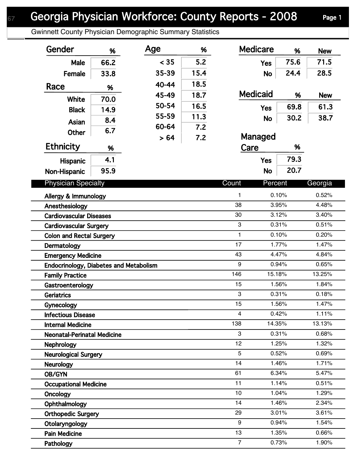Gwinnett County Physician Demographic Summary Statistics

| Gender                                 | %    | Age   | %    | <b>Medicare</b> | %       | <b>New</b> |
|----------------------------------------|------|-------|------|-----------------|---------|------------|
| Male                                   | 66.2 | < 35  | 5.2  | <b>Yes</b>      | 75.6    | 71.5       |
| Female                                 | 33.8 | 35-39 | 15.4 | <b>No</b>       | 24.4    | 28.5       |
| Race                                   |      | 40-44 | 18.5 |                 |         |            |
|                                        | %    | 45-49 | 18.7 | <b>Medicaid</b> | %       | <b>New</b> |
| <b>White</b>                           | 70.0 | 50-54 | 16.5 | <b>Yes</b>      | 69.8    | 61.3       |
| <b>Black</b>                           | 14.9 | 55-59 | 11.3 |                 | 30.2    | 38.7       |
| Asian                                  | 8.4  | 60-64 | 7.2  | <b>No</b>       |         |            |
| <b>Other</b>                           | 6.7  | > 64  | 7.2  | Managed         |         |            |
| <b>Ethnicity</b>                       | %    |       |      | Care            | %       |            |
| <b>Hispanic</b>                        | 4.1  |       |      | <b>Yes</b>      | 79.3    |            |
| Non-Hispanic                           | 95.9 |       |      | <b>No</b>       | 20.7    |            |
| <b>Physician Specialty</b>             |      |       |      | Count           | Percent | Georgia    |
| Allergy & Immunology                   |      |       |      | 1               | 0.10%   | 0.52%      |
| Anesthesiology                         |      |       |      | 38              | 3.95%   | 4.48%      |
| <b>Cardiovascular Diseases</b>         |      |       |      | 30              | 3.12%   | 3.40%      |
| <b>Cardiovascular Surgery</b>          |      |       |      | $\mathbf{3}$    | 0.31%   | 0.51%      |
| <b>Colon and Rectal Surgery</b>        |      |       |      | 1               | 0.10%   | 0.20%      |
| Dermatology                            |      |       |      | 17              | 1.77%   | 1.47%      |
| <b>Emergency Medicine</b>              |      |       |      | 43              | 4.47%   | 4.84%      |
| Endocrinology, Diabetes and Metabolism |      |       |      | 9               | 0.94%   | 0.65%      |
| <b>Family Practice</b>                 |      |       |      | 146             | 15.18%  | 13.25%     |
| Gastroenterology                       |      |       |      | 15              | 1.56%   | 1.84%      |
| <b>Geriatrics</b>                      |      |       |      | 3               | 0.31%   | 0.18%      |
| Gynecology                             |      |       |      | 15              | 1.56%   | 1.47%      |
| <b>Infectious Disease</b>              |      |       |      | 4               | 0.42%   | 1.11%      |
| <b>Internal Medicine</b>               |      |       |      | 138             | 14.35%  | 13.13%     |
| <b>Neonatal-Perinatal Medicine</b>     |      |       |      | 3               | 0.31%   | 0.68%      |
| Nephrology                             |      |       |      | 12              | 1.25%   | 1.32%      |
| <b>Neurological Surgery</b>            |      |       |      | 5               | 0.52%   | 0.69%      |
| <b>Neurology</b>                       |      |       |      | 14              | 1.46%   | 1.71%      |
| OB/GYN                                 |      |       |      | 61              | 6.34%   | 5.47%      |
| <b>Occupational Medicine</b>           |      |       |      | 11              | 1.14%   | 0.51%      |
| Oncology                               |      |       |      | 10              | 1.04%   | 1.29%      |
| Ophthalmology                          |      |       |      | 14              | 1.46%   | 2.34%      |
| <b>Orthopedic Surgery</b>              |      |       |      | 29              | 3.01%   | 3.61%      |
| Otolaryngology                         |      |       |      | 9               | 0.94%   | 1.54%      |
| <b>Pain Medicine</b>                   |      |       |      | 13              | 1.35%   | 0.66%      |
| Pathology                              |      |       |      | $\overline{7}$  | 0.73%   | 1.90%      |